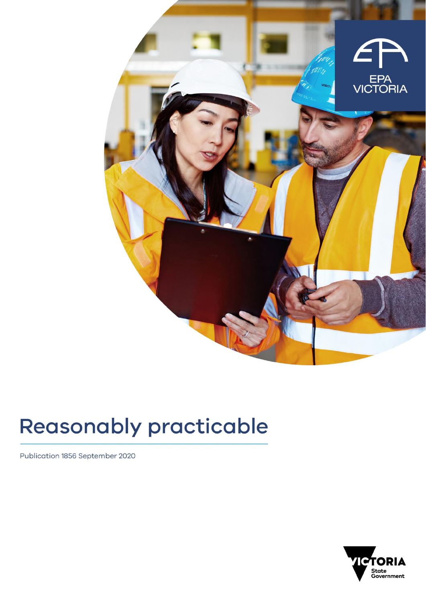

# **Reasonably practicable**

Publication 1856 September 2020

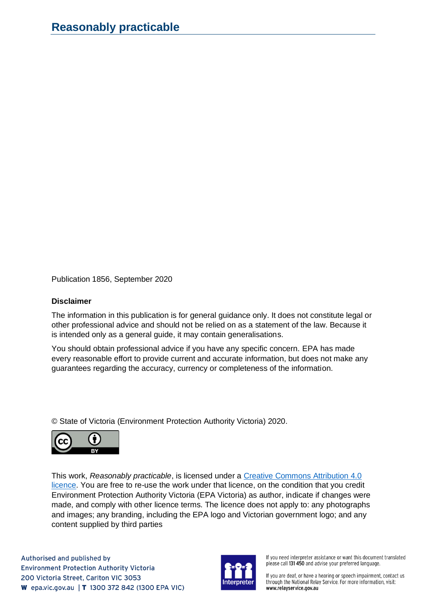Publication 1856, September 2020

#### **Disclaimer**

The information in this publication is for general guidance only. It does not constitute legal or other professional advice and should not be relied on as a statement of the law. Because it is intended only as a general guide, it may contain generalisations.

You should obtain professional advice if you have any specific concern. EPA has made every reasonable effort to provide current and accurate information, but does not make any guarantees regarding the accuracy, currency or completeness of the information.

© State of Victoria (Environment Protection Authority Victoria) 2020.



This work, *Reasonably practicable*, is licensed under a [Creative Commons Attribution 4.0](https://creativecommons.org/licenses/by/4.0/)  [licence.](https://creativecommons.org/licenses/by/4.0/) You are free to re-use the work under that licence, on the condition that you credit Environment Protection Authority Victoria (EPA Victoria) as author, indicate if changes were made, and comply with other licence terms. The licence does not apply to: any photographs and images; any branding, including the EPA logo and Victorian government logo; and any content supplied by third parties

Authorised and published by **Environment Protection Authority Victoria** 200 Victoria Street, Carlton VIC 3053 **W** epa.vic.gov.au | **T** 1300 372 842 (1300 EPA VIC)



If you need interpreter assistance or want this document translated please call 131 450 and advise your preferred language.

If you are deaf, or have a hearing or speech impairment, contact us through the National Relay Service. For more information, visit: www.relayservice.gov.au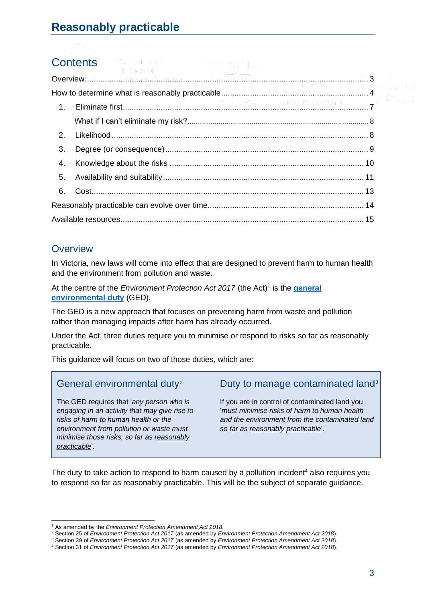# **Contents**

| 3. |  |  |
|----|--|--|
| 4. |  |  |
| 5. |  |  |
| 6. |  |  |
|    |  |  |
|    |  |  |

# <span id="page-2-0"></span>**Overview**

In Victoria, new laws will come into effect that are designed to prevent harm to human health and the environment from pollution and waste.

At the centre of the *Environment Protection Act 2017* (the Act) 1 is the **[general](https://www.epa.vic.gov.au/for-business/new-laws-and-your-business/general-environmental-duty)  [environmental duty](https://www.epa.vic.gov.au/for-business/new-laws-and-your-business/general-environmental-duty)** (GED).

The GED is a new approach that focuses on preventing harm from waste and pollution rather than managing impacts after harm has already occurred.

Under the Act, three duties require you to minimise or respond to risks so far as reasonably practicable.

This guidance will focus on two of those duties, which are:

# General environmental duty<sup>2</sup>

The GED requires that '*any person who is engaging in an activity that may give rise to risks of harm to human health or the environment from pollution or waste must minimise those risks, so far as reasonably practicable*'.

# Duty to manage contaminated land<sup>3</sup>

If you are in control of contaminated land you '*must minimise risks of harm to human health and the environment from the contaminated land so far as reasonably practicable*'.

The duty to take action to respond to harm caused by a pollution incident<sup>4</sup> also requires you to respond so far as reasonably practicable. This will be the subject of separate guidance.

<sup>1</sup> As amended by the *Environment Protection Amendment Act 2018*.

<sup>2</sup> Section 25 of *Environment Protection Act 2017* (as amended by *Environment Protection Amendment Act 2018*).

<sup>3</sup> Section 39 of *Environment Protection Act 2017* (as amended by *Environment Protection Amendment Act 2018*).

<sup>4</sup> Section 31 of *Environment Protection Act 2017* (as amended by *Environment Protection Amendment Act 2018*).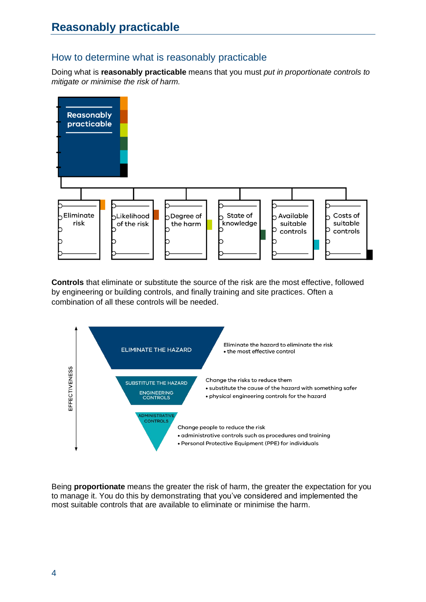# <span id="page-3-0"></span>How to determine what is reasonably practicable

Doing what is **reasonably practicable** means that you must *put in proportionate controls to mitigate or minimise the risk of harm.*



**Controls** that eliminate or substitute the source of the risk are the most effective, followed by engineering or building controls, and finally training and site practices. Often a combination of all these controls will be needed.



Being **proportionate** means the greater the risk of harm, the greater the expectation for you to manage it. You do this by demonstrating that you've considered and implemented the most suitable controls that are available to eliminate or minimise the harm.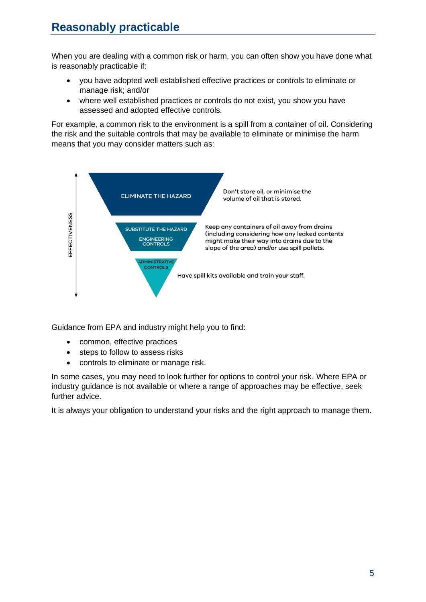When you are dealing with a common risk or harm, you can often show you have done what is reasonably practicable if:

- you have adopted well established effective practices or controls to eliminate or manage risk; and/or
- where well established practices or controls do not exist, you show you have assessed and adopted effective controls.

For example, a common risk to the environment is a spill from a container of oil. Considering the risk and the suitable controls that may be available to eliminate or minimise the harm means that you may consider matters such as:



Guidance from EPA and industry might help you to find:

- common, effective practices
- steps to follow to assess risks
- controls to eliminate or manage risk.

In some cases, you may need to look further for options to control your risk. Where EPA or industry guidance is not available or where a range of approaches may be effective, seek further advice.

It is always your obligation to understand your risks and the right approach to manage them.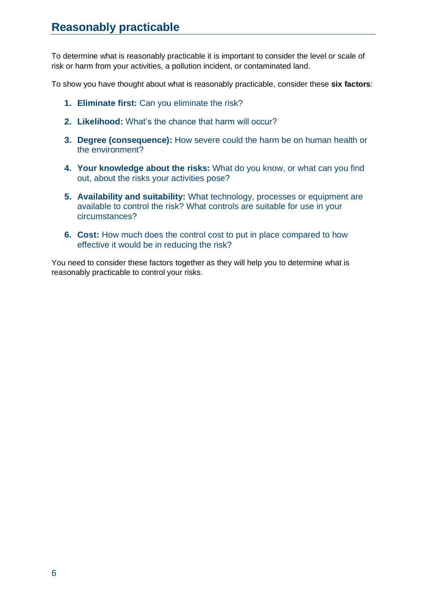To determine what is reasonably practicable it is important to consider the level or scale of risk or harm from your activities, a pollution incident, or contaminated land.

To show you have thought about what is reasonably practicable, consider these **six factors**:

- **1. [Eliminate first:](#page-6-0)** Can you eliminate the risk?
- **2. [Likelihood:](#page-7-1)** What's the chance that harm will occur?
- **3. [Degree \(consequence\):](#page-7-2)** How severe could the harm be on human health or the environment?
- **4. [Your knowledge](#page-8-1) about the risks:** What do you know, or what can you find out, about the risks your activities pose?
- **5. [Availability and](#page-10-0) suitability:** What technology, processes or equipment are available to control the risk? What controls are suitable for use in your circumstances?
- **6. [Cost:](#page-12-0)** How much does the control cost to put in place compared to how effective it would be in reducing the risk?

You need to consider these factors together as they will help you to determine what is reasonably practicable to control your risks.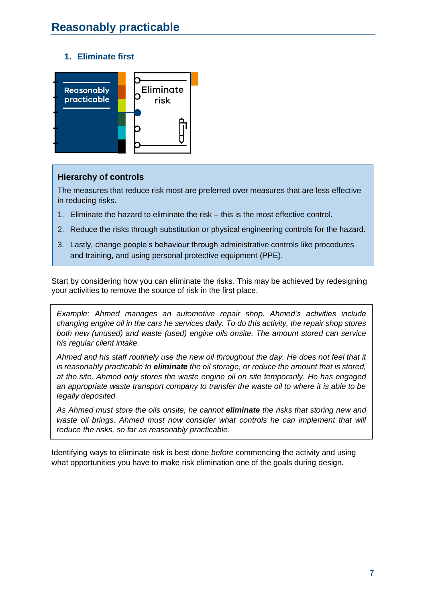## **1. Eliminate first**

<span id="page-6-0"></span>

#### **Hierarchy of controls**

The measures that reduce risk most are preferred over measures that are less effective in reducing risks.

- 1. Eliminate the hazard to eliminate the risk this is the most effective control.
- 2. Reduce the risks through substitution or physical engineering controls for the hazard.
- 3. Lastly, change people's behaviour through administrative controls like procedures and training, and using personal protective equipment (PPE).

Start by considering how you can eliminate the risks. This may be achieved by redesigning your activities to remove the source of risk in the first place.

*Example: Ahmed manages an automotive repair shop. Ahmed's activities include changing engine oil in the cars he services daily. To do this activity, the repair shop stores both new (unused) and waste (used) engine oils onsite. The amount stored can service his regular client intake.* 

*Ahmed and his staff routinely use the new oil throughout the day. He does not feel that it is reasonably practicable to eliminate the oil storage, or reduce the amount that is stored, at the site. Ahmed only stores the waste engine oil on site temporarily. He has engaged an appropriate waste transport company to transfer the waste oil to where it is able to be legally deposited.* 

*As Ahmed must store the oils onsite, he cannot eliminate the risks that storing new and waste oil brings. Ahmed must now consider what controls he can implement that will reduce the risks, so far as reasonably practicable*.

Identifying ways to eliminate risk is best done *before* commencing the activity and using what opportunities you have to make risk elimination one of the goals during design.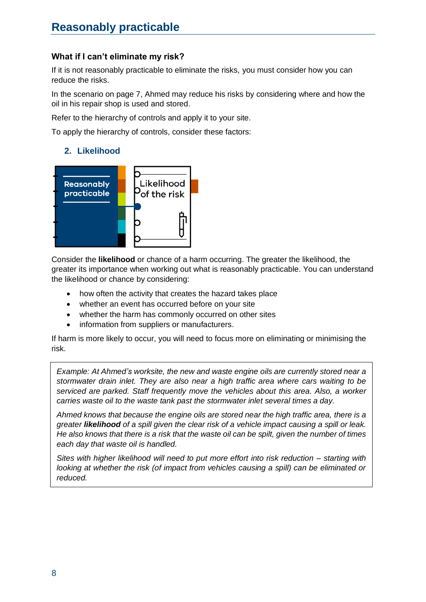## <span id="page-7-0"></span>**What if I can't eliminate my risk?**

If it is not reasonably practicable to eliminate the risks, you must consider how you can reduce the risks.

In the scenario on page 7, Ahmed may reduce his risks by considering where and how the oil in his repair shop is used and stored.

Refer to the hierarchy of controls and apply it to your site.

<span id="page-7-1"></span>To apply the hierarchy of controls, consider these factors:

#### **2. Likelihood**



Consider the **likelihood** or chance of a harm occurring. The greater the likelihood, the greater its importance when working out what is reasonably practicable. You can understand the likelihood or chance by considering:

- how often the activity that creates the hazard takes place
- whether an event has occurred before on your site
- whether the harm has commonly occurred on other sites
- information from suppliers or manufacturers.

If harm is more likely to occur, you will need to focus more on eliminating or minimising the risk.

*Example: At Ahmed's worksite, the new and waste engine oils are currently stored near a stormwater drain inlet. They are also near a high traffic area where cars waiting to be serviced are parked. Staff frequently move the vehicles about this area. Also, a worker carries waste oil to the waste tank past the stormwater inlet several times a day.*

*Ahmed knows that because the engine oils are stored near the high traffic area, there is a greater likelihood of a spill given the clear risk of a vehicle impact causing a spill or leak. He also knows that there is a risk that the waste oil can be spilt, given the number of times each day that waste oil is handled.*

<span id="page-7-2"></span>*Sites with higher likelihood will need to put more effort into risk reduction – starting with looking at whether the risk (of impact from vehicles causing a spill) can be eliminated or reduced.*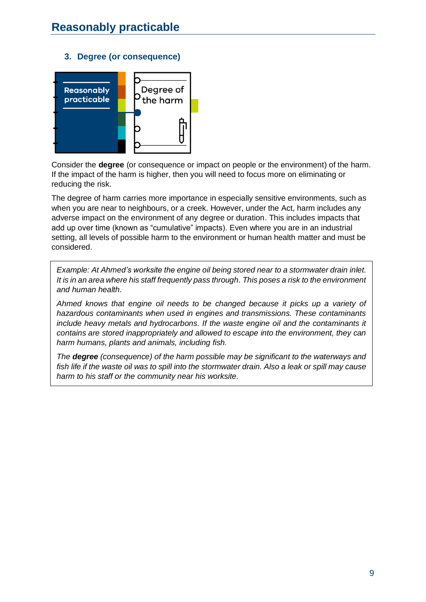#### <span id="page-8-0"></span>**3. Degree (or consequence)**



Consider the **degree** (or consequence or impact on people or the environment) of the harm. If the impact of the harm is higher, then you will need to focus more on eliminating or reducing the risk.

The degree of harm carries more importance in especially sensitive environments, such as when you are near to neighbours, or a creek. However, under the Act, harm includes any adverse impact on the environment of any degree or duration. This includes impacts that add up over time (known as "cumulative" impacts). Even where you are in an industrial setting, all levels of possible harm to the environment or human health matter and must be considered.

*Example: At Ahmed's worksite the engine oil being stored near to a stormwater drain inlet. It is in an area where his staff frequently pass through. This poses a risk to the environment and human health.* 

*Ahmed knows that engine oil needs to be changed because it picks up a variety of hazardous contaminants when used in engines and transmissions. These contaminants include heavy metals and hydrocarbons. If the waste engine oil and the contaminants it contains are stored inappropriately and allowed to escape into the environment, they can harm humans, plants and animals, including fish.*

<span id="page-8-1"></span>*The degree (consequence) of the harm possible may be significant to the waterways and fish life if the waste oil was to spill into the stormwater drain. Also a leak or spill may cause harm to his staff or the community near his worksite.*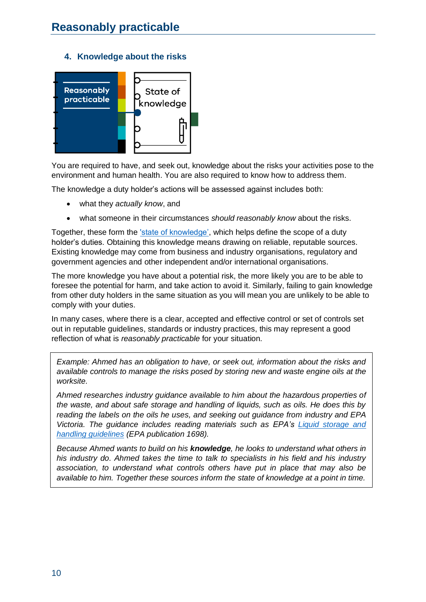#### **4. Knowledge about the risks**

<span id="page-9-0"></span>

You are required to have, and seek out, knowledge about the risks your activities pose to the environment and human health. You are also required to know how to address them.

The knowledge a duty holder's actions will be assessed against includes both:

- what they *actually know*, and
- what someone in their circumstances *should reasonably know* about the risks.

Together, these form the ['state of knowledge',](https://www.epa.vic.gov.au/about-epa/laws/new-laws/state-of-knowledge-and-industry-guidance) which helps define the scope of a duty holder's duties. Obtaining this knowledge means drawing on reliable, reputable sources. Existing knowledge may come from business and industry organisations, regulatory and government agencies and other independent and/or international organisations.

The more knowledge you have about a potential risk, the more likely you are to be able to foresee the potential for harm, and take action to avoid it. Similarly, failing to gain knowledge from other duty holders in the same situation as you will mean you are unlikely to be able to comply with your duties.

In many cases, where there is a clear, accepted and effective control or set of controls set out in reputable guidelines, standards or industry practices, this may represent a good reflection of what is *reasonably practicable* for your situation.

*Example: Ahmed has an obligation to have, or seek out, information about the risks and available controls to manage the risks posed by storing new and waste engine oils at the worksite.* 

*Ahmed researches industry guidance available to him about the hazardous properties of the waste, and about safe storage and handling of liquids, such as oils. He does this by reading the labels on the oils he uses, and seeking out guidance from industry and EPA Victoria. The guidance includes reading materials such as EPA's [Liquid storage and](https://www.epa.vic.gov.au/about-epa/publications/1698)  [handling guidelines](https://www.epa.vic.gov.au/about-epa/publications/1698) (EPA publication 1698).*

*Because Ahmed wants to build on his knowledge, he looks to understand what others in his industry do. Ahmed takes the time to talk to specialists in his field and his industry association, to understand what controls others have put in place that may also be available to him. Together these sources inform the state of knowledge at a point in time.*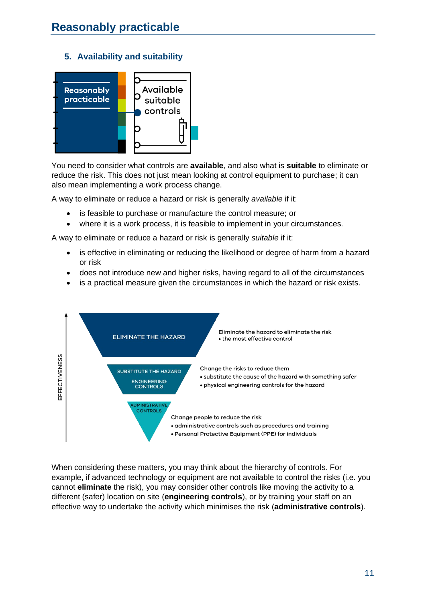#### **5. Availability and suitability**

<span id="page-10-0"></span>

You need to consider what controls are **available**, and also what is **suitable** to eliminate or reduce the risk. This does not just mean looking at control equipment to purchase; it can also mean implementing a work process change.

A way to eliminate or reduce a hazard or risk is generally *available* if it:

- is feasible to purchase or manufacture the control measure; or
- where it is a work process, it is feasible to implement in your circumstances.

A way to eliminate or reduce a hazard or risk is generally *suitable* if it:

- is effective in eliminating or reducing the likelihood or degree of harm from a hazard or risk
- does not introduce new and higher risks, having regard to all of the circumstances
- is a practical measure given the circumstances in which the hazard or risk exists.



When considering these matters, you may think about the hierarchy of controls. For example, if advanced technology or equipment are not available to control the risks (i.e. you cannot **eliminate** the risk), you may consider other controls like moving the activity to a different (safer) location on site (**engineering controls**), or by training your staff on an effective way to undertake the activity which minimises the risk (**administrative controls**).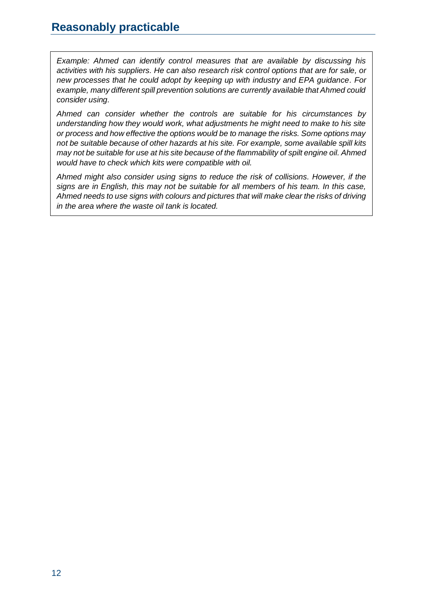*Example: Ahmed can identify control measures that are available by discussing his activities with his suppliers. He can also research risk control options that are for sale, or new processes that he could adopt by keeping up with industry and EPA guidance. For example, many different spill prevention solutions are currently available that Ahmed could consider using.*

*Ahmed can consider whether the controls are suitable for his circumstances by understanding how they would work, what adjustments he might need to make to his site or process and how effective the options would be to manage the risks. Some options may not be suitable because of other hazards at his site. For example, some available spill kits may not be suitable for use at his site because of the flammability of spilt engine oil. Ahmed would have to check which kits were compatible with oil.* 

*Ahmed might also consider using signs to reduce the risk of collisions. However, if the signs are in English, this may not be suitable for all members of his team. In this case, Ahmed needs to use signs with colours and pictures that will make clear the risks of driving in the area where the waste oil tank is located.*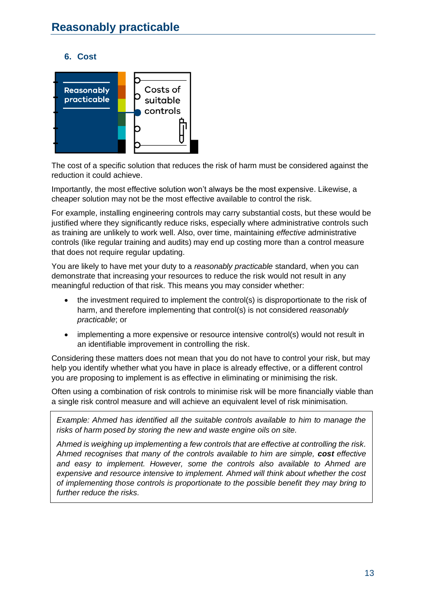## <span id="page-12-0"></span>**6. Cost**



The cost of a specific solution that reduces the risk of harm must be considered against the reduction it could achieve.

Importantly, the most effective solution won't always be the most expensive. Likewise, a cheaper solution may not be the most effective available to control the risk.

For example, installing engineering controls may carry substantial costs, but these would be justified where they significantly reduce risks, especially where administrative controls such as training are unlikely to work well. Also, over time, maintaining *effective* administrative controls (like regular training and audits) may end up costing more than a control measure that does not require regular updating.

You are likely to have met your duty to a *reasonably practicable* standard, when you can demonstrate that increasing your resources to reduce the risk would not result in any meaningful reduction of that risk. This means you may consider whether:

- the investment required to implement the control(s) is disproportionate to the risk of harm, and therefore implementing that control(s) is not considered *reasonably practicable*; or
- implementing a more expensive or resource intensive control(s) would not result in an identifiable improvement in controlling the risk.

Considering these matters does not mean that you do not have to control your risk, but may help you identify whether what you have in place is already effective, or a different control you are proposing to implement is as effective in eliminating or minimising the risk.

Often using a combination of risk controls to minimise risk will be more financially viable than a single risk control measure and will achieve an equivalent level of risk minimisation.

*Example: Ahmed has identified all the suitable controls available to him to manage the risks of harm posed by storing the new and waste engine oils on site.* 

*Ahmed is weighing up implementing a few controls that are effective at controlling the risk. Ahmed recognises that many of the controls available to him are simple, cost effective and easy to implement. However, some the controls also available to Ahmed are expensive and resource intensive to implement. Ahmed will think about whether the cost of implementing those controls is proportionate to the possible benefit they may bring to further reduce the risks.*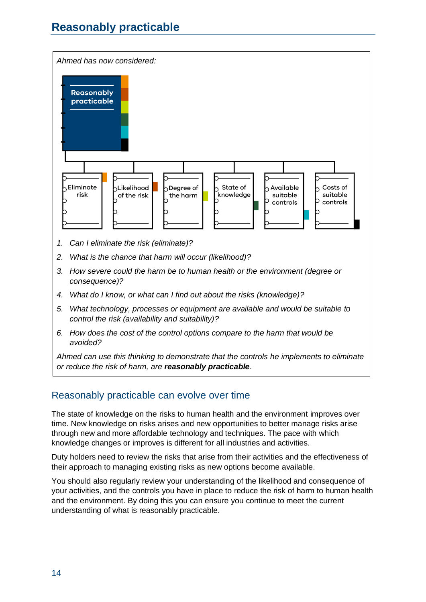# **Reasonably practicable**



- *1. Can I eliminate the risk (eliminate)?*
- *2. What is the chance that harm will occur (likelihood)?*
- *3. How severe could the harm be to human health or the environment (degree or consequence)?*
- *4. What do I know, or what can I find out about the risks (knowledge)?*
- *5. What technology, processes or equipment are available and would be suitable to control the risk (availability and suitability)?*
- *6. How does the cost of the control options compare to the harm that would be avoided?*

*Ahmed can use this thinking to demonstrate that the controls he implements to eliminate or reduce the risk of harm, are reasonably practicable*.

# <span id="page-13-0"></span>Reasonably practicable can evolve over time

The state of knowledge on the risks to human health and the environment improves over time. New knowledge on risks arises and new opportunities to better manage risks arise through new and more affordable technology and techniques. The pace with which knowledge changes or improves is different for all industries and activities.

Duty holders need to review the risks that arise from their activities and the effectiveness of their approach to managing existing risks as new options become available.

You should also regularly review your understanding of the likelihood and consequence of your activities, and the controls you have in place to reduce the risk of harm to human health and the environment. By doing this you can ensure you continue to meet the current understanding of what is reasonably practicable.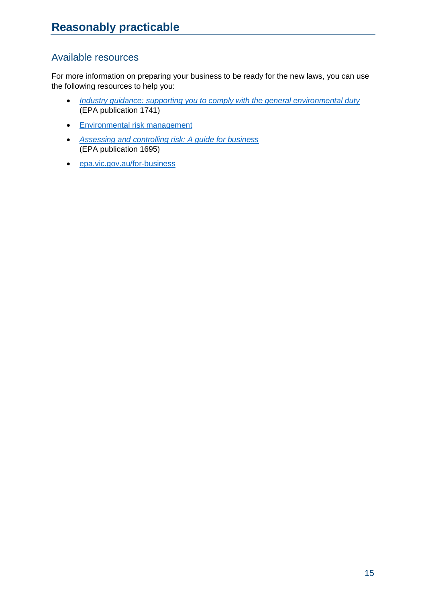# <span id="page-14-0"></span>Available resources

For more information on preparing your business to be ready for the new laws, you can use the following resources to help you:

- *[Industry guidance: supporting you to comply with the general environmental duty](https://www.epa.vic.gov.au/about-epa/publications/1741)* (EPA publication 1741)
- [Environmental risk management](https://www.epa.vic.gov.au/for-business/how-to/manage-environmental-risk)
- *[Assessing and controlling risk: A guide for business](https://www.epa.vic.gov.au/about-epa/publications/1695-1)* (EPA publication 1695)
- [epa.vic.gov.au/for-business](https://www.epa.vic.gov.au/for-business)